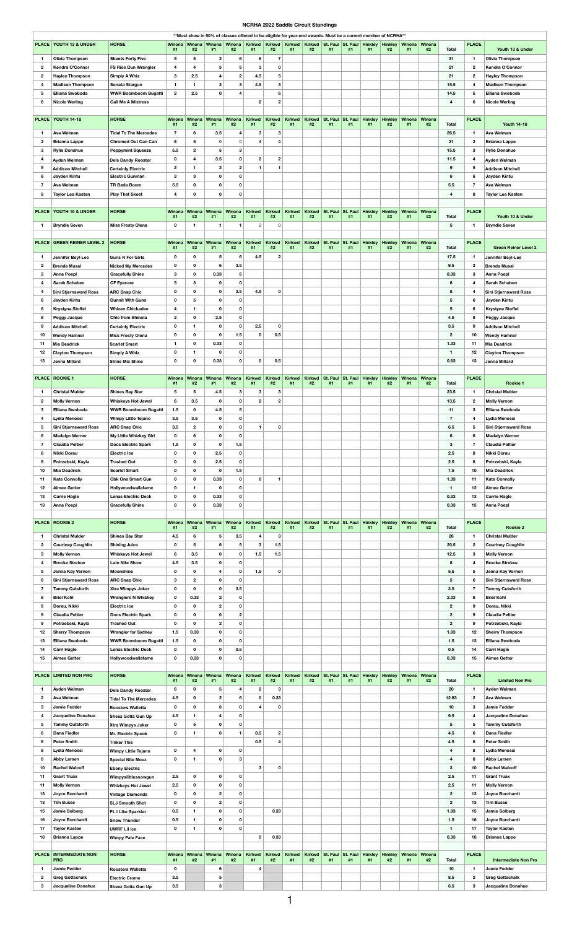## **NCRHA 2022 Saddle Circuit Standings**

|                |                                     |                               |                     |                         |                  |                  |                     |                     |                     |                     | **Must show in 50% of classes offered to be eligible for year-end awards. Must be a current member of NCRHA** |                                        |                      |                      |                     |    |                         |              |                              |
|----------------|-------------------------------------|-------------------------------|---------------------|-------------------------|------------------|------------------|---------------------|---------------------|---------------------|---------------------|---------------------------------------------------------------------------------------------------------------|----------------------------------------|----------------------|----------------------|---------------------|----|-------------------------|--------------|------------------------------|
|                | <b>PLACE YOUTH 13 &amp; UNDER</b>   | <b>HORSE</b>                  | <b>Winona</b>       | Winona                  |                  |                  |                     |                     |                     |                     | Winona Winona Kirkwd Kirkwd Kirkwd Kirkwd St. Paul St. Paul Hinkley Hinkley Winona Winona                     |                                        |                      |                      |                     |    |                         | <b>PLACE</b> |                              |
|                |                                     |                               | #1                  | #2                      | #1               | #2               | #1                  | #2                  | #1                  | #2                  | #1                                                                                                            | #1                                     | #1                   | #2                   | #1                  | #2 | <b>Total</b>            |              | Youth 13 & Under             |
|                | <b>Olivia Thompson</b>              | <b>Skeets Forty Five</b>      | 5                   | $\overline{\mathbf{5}}$ | $\overline{2}$   | 6                | 6                   | -7                  |                     |                     |                                                                                                               |                                        |                      |                      |                     |    | 31                      | $\mathbf 1$  | <b>Olivia Thompson</b>       |
| $\mathbf{2}$   | Kendra O'Connor                     | <b>FS Rios Dun Wrangler</b>   | 4                   | 4                       | 5                | $5\phantom{.0}$  | 3                   | 0                   |                     |                     |                                                                                                               |                                        |                      |                      |                     |    | 21                      | $\mathbf{2}$ | Kendra O'Connor              |
| $\mathbf{2}$   | <b>Hayley Thompson</b>              | <b>Simply A Whiz</b>          | $\mathbf{3}$        | 2.5                     |                  | $\overline{2}$   | 4.5                 | 5                   |                     |                     |                                                                                                               |                                        |                      |                      |                     |    | 21                      | $\mathbf{2}$ | <b>Hayley Thompson</b>       |
| 4              | <b>Madison Thompson</b>             | Sonata Stargun                |                     | -1                      | 3                | $\mathbf{3}$     | 4.5                 | $\mathbf{3}$        |                     |                     |                                                                                                               |                                        |                      |                      |                     |    | 15.5                    | 4            | <b>Madison Thompson</b>      |
| 5              | <b>Elliana Swoboda</b>              | <b>WWR Boomboom Bugatti</b>   | $\overline{2}$      | 2.5                     | 0                |                  |                     | 6                   |                     |                     |                                                                                                               |                                        |                      |                      |                     |    | 14.5                    | 5            | <b>Elliana Swoboda</b>       |
| 6              | <b>Nicole Werling</b>               | <b>Call Me A Mistress</b>     |                     |                         |                  |                  | $\mathbf{2}$        |                     |                     |                     |                                                                                                               |                                        |                      |                      |                     |    | 4                       | 6            | <b>Nicole Werling</b>        |
|                |                                     |                               |                     |                         |                  |                  |                     |                     |                     |                     |                                                                                                               |                                        |                      |                      |                     |    |                         |              |                              |
|                |                                     |                               |                     |                         |                  |                  |                     |                     |                     |                     |                                                                                                               |                                        |                      |                      |                     |    |                         |              |                              |
|                | PLACE YOUTH 14-18                   | <b>HORSE</b>                  | <b>Winona</b><br>#1 | <b>Winona</b><br>#2     | Winona<br>#1     | Winona<br>#2     | <b>Kirkwd</b><br>#1 | <b>Kirkwd</b><br>#2 | <b>Kirkwd</b><br>#1 | <b>Kirkwd</b><br>#2 | St. Paul<br>#1                                                                                                | St. Paul<br>#1                         | <b>Hinkley</b><br>#1 | <b>Hinkley</b><br>#2 | Winona Winona<br>#1 | #2 | <b>Total</b>            | <b>PLACE</b> | <b>Youth 14-18</b>           |
|                | <b>Ava Welman</b>                   | <b>Tidal To The Mercedes</b>  | 7                   | 6                       | 3.5              | 4                | 3                   | 3                   |                     |                     |                                                                                                               |                                        |                      |                      |                     |    | 26.5                    | -1           | <b>Ava Welman</b>            |
| $\mathbf{2}$   | <b>Brianna Lappe</b>                | <b>Chromed Out Can Can</b>    | 8                   | 5                       | $\mathbf{0}$     | $\mathsf{O}$     | 4                   |                     |                     |                     |                                                                                                               |                                        |                      |                      |                     |    | 21                      | $\mathbf{2}$ | <b>Brianna Lappe</b>         |
|                |                                     |                               |                     |                         |                  |                  |                     |                     |                     |                     |                                                                                                               |                                        |                      |                      |                     |    |                         |              |                              |
| 3              | <b>Rylie Donahue</b>                | <b>Peppymint Squeeze</b>      | 5.5                 | $\mathbf{2}$            | 5                | 3                |                     |                     |                     |                     |                                                                                                               |                                        |                      |                      |                     |    | 15.5                    | 3            | <b>Rylie Donahue</b>         |
| 4              | Ayden Welman                        | <b>Dels Dandy Rooster</b>     | $\mathbf 0$         | 4                       | 3.5              | $\mathbf{0}$     | $\boldsymbol{2}$    | $\boldsymbol{2}$    |                     |                     |                                                                                                               |                                        |                      |                      |                     |    | 11.5                    | 4            | <b>Ayden Welman</b>          |
| 5              | <b>Addison Mitchell</b>             | <b>Certainly Electric</b>     | $\mathbf{2}$        | -1                      | $\mathbf{2}$     | $\overline{2}$   | 1                   |                     |                     |                     |                                                                                                               |                                        |                      |                      |                     |    | 9                       | 5            | <b>Addison Mitchell</b>      |
| 6              | Jayden Kintu                        | <b>Electric Gunman</b>        | 3                   | 3                       | 0                | $\mathbf 0$      |                     |                     |                     |                     |                                                                                                               |                                        |                      |                      |                     |    | 6                       | 6            | Jayden Kintu                 |
|                | <b>Ava Welman</b>                   | <b>TR Bada Boom</b>           | 5.5                 | $\mathbf 0$             | $\mathbf 0$      | 0                |                     |                     |                     |                     |                                                                                                               |                                        |                      |                      |                     |    | 5.5                     | 7            | <b>Ava Welman</b>            |
| 8              | <b>Taylor Lea Kasten</b>            | <b>Play That Skeet</b>        | 4                   | 0                       | $\Omega$         | $\Omega$         |                     |                     |                     |                     |                                                                                                               |                                        |                      |                      |                     |    | $\overline{4}$          | 8            | <b>Taylor Lea Kasten</b>     |
|                |                                     |                               |                     |                         |                  |                  |                     |                     |                     |                     |                                                                                                               |                                        |                      |                      |                     |    |                         |              |                              |
|                | <b>PLACE   YOUTH 10 &amp; UNDER</b> | <b>HORSE</b>                  | Winona              | <b>Winona</b>           | Winona           | Winona           | <b>Kirkwd</b>       | <b>Kirkwd</b>       | <b>Kirkwd</b>       | <b>Kirkwd</b>       | St. Paul                                                                                                      | St. Paul                               | <b>Hinkley</b>       | <b>Hinkley</b>       | Winona Winona       |    |                         | <b>PLACE</b> |                              |
|                |                                     |                               | #1                  | #2                      | #1               | #2               | #1                  | #2                  | #1                  | #2                  | #1                                                                                                            | #1                                     | #1                   | #2                   | #1                  | #2 | <b>Total</b>            |              | Youth 10 & Under             |
| $\overline{1}$ | <b>Bryndle Seven</b>                | <b>Miss Frosty Olena</b>      | $\mathbf 0$         | $\mathbf{1}$            | $\overline{1}$   | $\blacksquare$   | $\overline{2}$      | $\overline{0}$      |                     |                     |                                                                                                               |                                        |                      |                      |                     |    | 5                       | $\mathbf 1$  | <b>Bryndle Seven</b>         |
|                |                                     |                               |                     |                         |                  |                  |                     |                     |                     |                     |                                                                                                               |                                        |                      |                      |                     |    |                         |              |                              |
|                | <b>PLACE GREEN REINER LEVEL 2</b>   | <b>HORSE</b>                  | Winona              | Winona                  | Winona           | Winona           | <b>Kirkwd</b>       | <b>Kirkwd</b>       | <b>Kirkwd</b>       | <b>Kirkwd</b>       | St. Paul                                                                                                      | St. Paul Hinkley Hinkley Winona Winona |                      |                      |                     |    |                         | <b>PLACE</b> |                              |
|                |                                     |                               | #1                  | #2                      | #1               | #2               | #1                  | #2                  | #1                  | #2                  | #1                                                                                                            | #1                                     | #1                   | #2                   | #1                  | #2 | <b>Total</b>            |              | <b>Green Reiner Level 2</b>  |
|                | Jennifer Beyl-Lee                   | <b>Guns R For Girls</b>       | $\mathbf 0$         | 0                       | 5                | 6                | 4.5                 | $\overline{2}$      |                     |                     |                                                                                                               |                                        |                      |                      |                     |    | 17.5                    | -1           | Jennifer Beyl-Lee            |
| $\mathbf{2}$   | <b>Brenda Musal</b>                 | <b>Nicked My Mercedes</b>     | $\mathbf 0$         | 0                       |                  | 3.5              |                     |                     |                     |                     |                                                                                                               |                                        |                      |                      |                     |    | 9.5                     | $\mathbf{2}$ | <b>Brenda Musal</b>          |
| 3              | <b>Anna Poepl</b>                   | <b>Gracefully Shine</b>       | $\mathbf{3}$        | $\mathbf 0$             | 0.33             | 5                |                     |                     |                     |                     |                                                                                                               |                                        |                      |                      |                     |    | 8.33                    | 3            | <b>Anna Poepl</b>            |
| 4              | <b>Sarah Schaben</b>                | <b>CF Eyecare</b>             | 5                   | 3                       | 0                | $\mathbf 0$      |                     |                     |                     |                     |                                                                                                               |                                        |                      |                      |                     |    | 8                       | 4            | <b>Sarah Schaben</b>         |
| 4              | <b>Sini Stjernsward Ross</b>        | <b>ARC Snap Chic</b>          | $\mathbf 0$         | $\mathbf 0$             | 0                | 3.5              | 4.5                 |                     |                     |                     |                                                                                                               |                                        |                      |                      |                     |    | 8                       | 4            | <b>Sini Stjernsward Ross</b> |
| 6              | Jayden Kintu                        | <b>Dunnit With Guns</b>       | $\mathbf 0$         | 5                       | $\mathbf 0$      | $\mathbf 0$      |                     |                     |                     |                     |                                                                                                               |                                        |                      |                      |                     |    | $5\phantom{.0}$         | 6            | Jayden Kintu                 |
| 6              | <b>Krystyna Stoffel</b>             | <b>Whizen Chickadee</b>       | 4                   | -1                      | 0                | $\mathbf 0$      |                     |                     |                     |                     |                                                                                                               |                                        |                      |                      |                     |    | 5                       | 6            | <b>Krystyna Stoffel</b>      |
|                |                                     | <b>Chic from Shinola</b>      |                     | $\mathbf 0$             |                  | $\mathbf 0$      |                     |                     |                     |                     |                                                                                                               |                                        |                      |                      |                     |    | 4.5                     |              |                              |
| 8              | <b>Peggy Jacque</b>                 |                               | $\mathbf{2}$        |                         | 2.5              |                  |                     |                     |                     |                     |                                                                                                               |                                        |                      |                      |                     |    |                         | 8            | <b>Peggy Jacque</b>          |
| 9              | <b>Addison Mitchell</b>             | <b>Certainly Electric</b>     | $\mathbf 0$         | 1                       | $\mathbf 0$      | $\mathbf 0$      | 2.5                 | 0                   |                     |                     |                                                                                                               |                                        |                      |                      |                     |    | 3.5                     | 9            | <b>Addison Mitchell</b>      |
| 10             | <b>Wendy Hamner</b>                 | <b>Miss Frosty Olena</b>      | $\mathbf 0$         | 0                       | 0                | 1.5              | $\mathbf{0}$        | 0.5                 |                     |                     |                                                                                                               |                                        |                      |                      |                     |    | $\mathbf{2}$            | 10           | <b>Wendy Hamner</b>          |
| 11             | <b>Mia Deadrick</b>                 | <b>Scarlet Smart</b>          | 1                   | $\mathbf 0$             | 0.33             | $\mathbf 0$      |                     |                     |                     |                     |                                                                                                               |                                        |                      |                      |                     |    | 1.33                    | 11           | <b>Mia Deadrick</b>          |
| 12             | <b>Clayton Thompson</b>             | Simply A Whiz                 | $\mathbf 0$         | 1                       | $\mathbf{0}$     | $\mathbf 0$      |                     |                     |                     |                     |                                                                                                               |                                        |                      |                      |                     |    | $\blacktriangleleft$    | 12           | <b>Clayton Thompson</b>      |
| 13             | Jenna Millard                       | <b>Shine Mia Shine</b>        | $\mathbf 0$         | $\mathbf 0$             | 0.33             | $\mathbf 0$      | 0                   | 0.5                 |                     |                     |                                                                                                               |                                        |                      |                      |                     |    | 0.83                    | 13           | Jenna Millard                |
|                |                                     |                               |                     |                         |                  |                  |                     |                     |                     |                     |                                                                                                               |                                        |                      |                      |                     |    |                         |              |                              |
|                | <b>PLACE   ROOKIE 1</b>             | <b>HORSE</b>                  | Winona              | Winona                  | Winona           | Winona           | <b>Kirkwd</b>       | <b>Kirkwd</b>       | <b>Kirkwd</b>       | <b>Kirkwd</b>       | St. Paul                                                                                                      | St. Paul                               | <b>Hinkley</b>       | <b>Hinkley</b>       | Winona Winona       |    |                         | <b>PLACE</b> |                              |
|                |                                     |                               | #1                  | #2                      | #1               | #2               | #1                  | #2                  | #1                  | #2                  | #1                                                                                                            | #1                                     | #1                   | #2                   | #1                  | #2 | <b>Total</b>            |              | <b>Rookie 1</b>              |
|                | <b>Christal Mulder</b>              | <b>Shines Bay Star</b>        | $5\phantom{.0}$     | 5                       | 4.5              | $\boldsymbol{3}$ | $\mathbf{3}$        | 3                   |                     |                     |                                                                                                               |                                        |                      |                      |                     |    | 23.5                    | 1            | <b>Christal Mulder</b>       |
| $\mathbf{2}$   | <b>Molly Vernon</b>                 | <b>Whiskeys Hot Jewel</b>     | 6                   | 3.5                     | $\mathbf 0$      | $\mathbf 0$      | $\overline{2}$      | $\overline{2}$      |                     |                     |                                                                                                               |                                        |                      |                      |                     |    | 13.5                    | $\mathbf{2}$ | <b>Molly Vernon</b>          |
| 3              | <b>Elliana Swoboda</b>              | <b>WWR Boomboom Bugatti</b>   | 1.5                 | $\mathbf 0$             | 4.5              | 5                |                     |                     |                     |                     |                                                                                                               |                                        |                      |                      |                     |    | 11                      | 3            | <b>Elliana Swoboda</b>       |
| 4              | Lydia Menossi                       | <b>Wimpy Little Tejano</b>    | 3.5                 | 3.5                     | $\mathbf 0$      | 0                |                     |                     |                     |                     |                                                                                                               |                                        |                      |                      |                     |    | -7                      | 4            | Lydia Menossi                |
| 5              |                                     | <b>ARC Snap Chic</b>          | 3.5                 |                         |                  | $\mathbf 0$      | 1                   |                     |                     |                     |                                                                                                               |                                        |                      |                      |                     |    | 6.5                     |              | <b>Sini Stjernsward Ross</b> |
|                | <b>Sini Stjernsward Ross</b>        |                               |                     | $\mathbf{2}$            | $\mathbf 0$      |                  |                     | $\mathbf 0$         |                     |                     |                                                                                                               |                                        |                      |                      |                     |    |                         | 5            |                              |
| 6              | <b>Madalyn Werner</b>               | <b>My Little Whizkey Girl</b> | $\mathbf 0$         | 6                       | 0                | $\mathbf 0$      |                     |                     |                     |                     |                                                                                                               |                                        |                      |                      |                     |    | 6                       | 6            | <b>Madalyn Werner</b>        |
|                | <b>Claudia Peltier</b>              | <b>Docs Electric Spark</b>    | 1.5                 | $\mathbf 0$             | $\mathbf 0$      | 1.5              |                     |                     |                     |                     |                                                                                                               |                                        |                      |                      |                     |    | $\mathbf{3}$            | 7            | <b>Claudia Peltier</b>       |
| 8              | Nikki Dorau                         | <b>Electric Ice</b>           | $\mathbf 0$         | $\mathbf 0$             | 2.5              | $\mathbf 0$      |                     |                     |                     |                     |                                                                                                               |                                        |                      |                      |                     |    | 2.5                     | 8            | Nikki Dorau                  |
| 8              | Potrzebski, Kayla                   | <b>Trashed Out</b>            | $\mathbf 0$         | $\mathbf 0$             | 2.5              | $\mathbf 0$      |                     |                     |                     |                     |                                                                                                               |                                        |                      |                      |                     |    | 2.5                     | 8            | Potrzebski, Kayla            |
| 10             | <b>Mia Deadrick</b>                 | <b>Scarlet Smart</b>          | $\mathbf 0$         | 0                       | 0                | 1.5              |                     |                     |                     |                     |                                                                                                               |                                        |                      |                      |                     |    | 1.5                     | 10           | <b>Mia Deadrick</b>          |
| 11             | <b>Kate Connolly</b>                | <b>Cbk One Smart Gun</b>      | $\mathbf 0$         | $\mathbf 0$             | 0.33             | $\mathbf 0$      | 0                   |                     |                     |                     |                                                                                                               |                                        |                      |                      |                     |    | 1.33                    | 11           | <b>Kate Connolly</b>         |
| 12             | <b>Aimee Getter</b>                 | Hollywoodwallafame            | $\mathbf 0$         | -1                      | 0                | $\mathbf 0$      |                     |                     |                     |                     |                                                                                                               |                                        |                      |                      |                     |    | $\overline{\mathbf{1}}$ | 12           | <b>Aimee Getter</b>          |
| 13             | <b>Carrie Hagle</b>                 | <b>Lenas Electric Deck</b>    | $\mathbf 0$         | $\mathbf 0$             | 0.33             | $\mathbf 0$      |                     |                     |                     |                     |                                                                                                               |                                        |                      |                      |                     |    | 0.33                    | 13           | <b>Carrie Hagle</b>          |
| 13             | <b>Anna Poepl</b>                   | <b>Gracefully Shine</b>       | $\mathbf 0$         | $\mathbf 0$             | 0.33             | $\mathbf 0$      |                     |                     |                     |                     |                                                                                                               |                                        |                      |                      |                     |    | 0.33                    | 13           | <b>Anna Poepl</b>            |
|                |                                     |                               |                     |                         |                  |                  |                     |                     |                     |                     |                                                                                                               |                                        |                      |                      |                     |    |                         |              |                              |
|                | <b>PLACE   ROOKIE 2</b>             | <b>HORSE</b>                  | Winona              | Winona                  |                  |                  |                     |                     |                     |                     |                                                                                                               | St. Paul                               | <b>Hinkley</b>       | <b>Hinkley</b>       | Winona Winona       |    |                         |              |                              |
|                |                                     |                               | #1                  |                         |                  |                  |                     |                     |                     |                     |                                                                                                               |                                        |                      |                      | #1                  | #2 |                         |              |                              |
|                | <b>Christal Mulder</b>              |                               |                     | #2                      | Winona<br>#1     | Winona<br>#2     | <b>Kirkwd</b><br>#1 | <b>Kirkwd</b><br>#2 | <b>Kirkwd</b><br>#1 | <b>Kirkwd</b><br>#2 | St. Paul<br>#1                                                                                                | #1                                     | #1                   | #2                   |                     |    | <b>Total</b>            | <b>PLACE</b> | <b>Rookie 2</b>              |
|                |                                     | <b>Shines Bay Star</b>        |                     | 6                       | 5                |                  | 4                   | 3                   |                     |                     |                                                                                                               |                                        |                      |                      |                     |    | 26                      | 1            | <b>Christal Mulder</b>       |
|                |                                     |                               | 4.5                 |                         |                  | 3.5              |                     |                     |                     |                     |                                                                                                               |                                        |                      |                      |                     |    |                         |              |                              |
| $\mathbf{2}$   | <b>Courtney Coughlin</b>            | <b>Shining Juice</b>          | $\mathbf 0$         | 5                       | 6                | $5\phantom{.0}$  | $\mathbf{3}$        | 1.5                 |                     |                     |                                                                                                               |                                        |                      |                      |                     |    | 20.5                    | $\mathbf{2}$ | <b>Courtney Coughlin</b>     |
| З              | <b>Molly Vernon</b>                 | <b>Whiskeys Hot Jewel</b>     | 6                   | 3.5                     | $\mathbf 0$      | $\mathbf 0$      | 1.5                 | 1.5                 |                     |                     |                                                                                                               |                                        |                      |                      |                     |    | 12.5                    | 3            | <b>Molly Vernon</b>          |
| 4              | <b>Brooke Strelow</b>               | <b>Late Nite Show</b>         | 4.5                 | 3.5                     | $\mathbf 0$      | $\mathbf 0$      |                     |                     |                     |                     |                                                                                                               |                                        |                      |                      |                     |    | 8                       | 4            | <b>Brooke Strelow</b>        |
| 5              | Jenna Kay Vernon                    | <b>Moonshine</b>              | $\mathbf{0}$        | 0                       | 4                | 0                | 1.5                 | $\mathbf{0}$        |                     |                     |                                                                                                               |                                        |                      |                      |                     |    | 5.5                     | 5            | Jenna Kay Vernon             |
| 6              | <b>Sini Stjernsward Ross</b>        | <b>ARC Snap Chic</b>          | 3                   | $\overline{2}$          | $\mathbf 0$      | $\mathbf 0$      |                     |                     |                     |                     |                                                                                                               |                                        |                      |                      |                     |    | $5\phantom{.0}$         | 6            | <b>Sini Stjernsward Ross</b> |
|                | <b>Tammy Cutsforth</b>              | <b>Xtra Wimpys Joker</b>      | $\mathbf 0$         | $\mathbf 0$             | $\mathbf 0$      | 3.5              |                     |                     |                     |                     |                                                                                                               |                                        |                      |                      |                     |    | 3.5                     | 7            | <b>Tammy Cutsforth</b>       |
| 8              | <b>Briel Kohl</b>                   | <b>Wranglers N Whizkey</b>    | $\mathbf 0$         | 0.33                    | $\mathbf{2}$     | $\mathbf 0$      |                     |                     |                     |                     |                                                                                                               |                                        |                      |                      |                     |    | 2.33                    | 8            | <b>Briel Kohl</b>            |
| 9              | Dorau, Nikki                        | <b>Electric Ice</b>           | $\mathbf 0$         | 0                       |                  | $\mathbf{0}$     |                     |                     |                     |                     |                                                                                                               |                                        |                      |                      |                     |    | $\mathbf{2}$            | 9            | Dorau, Nikki                 |
| 9              | <b>Claudia Peltier</b>              | <b>Docs Electric Spark</b>    | $\mathbf 0$         | 0                       | $\mathbf 0$      | $\boldsymbol{2}$ |                     |                     |                     |                     |                                                                                                               |                                        |                      |                      |                     |    | $\mathbf{2}$            | 9            | <b>Claudia Peltier</b>       |
| 9              | Potrzebski, Kayla                   | <b>Trashed Out</b>            | $\mathbf 0$         | $\mathbf 0$             | $\mathbf{2}$     | $\mathbf 0$      |                     |                     |                     |                     |                                                                                                               |                                        |                      |                      |                     |    | $\overline{2}$          | 9            | Potrzebski, Kayla            |
| 12             | <b>Sherry Thompson</b>              | <b>Wrangler for Sydney</b>    | 1.5                 | 0.33                    | $\mathbf 0$      | $\mathbf 0$      |                     |                     |                     |                     |                                                                                                               |                                        |                      |                      |                     |    | 1.83                    | 12           | <b>Sherry Thompson</b>       |
| 13             | <b>Elliana Swoboda</b>              | <b>WWR Boomboom Bugatti</b>   | 1.5                 | $\mathbf 0$             | $\mathbf 0$      | $\mathbf 0$      |                     |                     |                     |                     |                                                                                                               |                                        |                      |                      |                     |    | 1.5                     | 13           | <b>Elliana Swoboda</b>       |
|                |                                     | <b>Lenas Electric Deck</b>    |                     | 0                       | $\mathbf{0}$     |                  |                     |                     |                     |                     |                                                                                                               |                                        |                      |                      |                     |    |                         | 14           |                              |
| 14             | <b>Carri Hagle</b>                  |                               | $\mathbf 0$         |                         |                  | 0.5              |                     |                     |                     |                     |                                                                                                               |                                        |                      |                      |                     |    | 0.5                     |              | <b>Carri Hagle</b>           |
| 15             | <b>Aimee Getter</b>                 | Hollywoodwallafame            | $\mathbf 0$         | 0.33                    | $\mathbf{0}$     | $\mathbf 0$      |                     |                     |                     |                     |                                                                                                               |                                        |                      |                      |                     |    | 0.33                    | 15           | <b>Aimee Getter</b>          |
|                |                                     |                               |                     |                         |                  |                  |                     |                     |                     |                     |                                                                                                               |                                        |                      |                      |                     |    |                         |              |                              |
|                | <b>PLACE LIMITED NON PRO</b>        | <b>HORSE</b>                  | Winona<br>#1        | Winona<br>#2            | Winona<br>#1     | Winona<br>#2     | <b>Kirkwd</b><br>#1 | <b>Kirkwd</b><br>#2 | <b>Kirkwd</b><br>#1 | <b>Kirkwd</b><br>#2 | St. Paul<br>#1                                                                                                | St. Paul<br>#1                         | Hinkley<br>#1        | <b>Hinkley</b><br>#2 | Winona Winona<br>#1 | #2 | <b>Total</b>            | <b>PLACE</b> | <b>Limited Non Pro</b>       |
|                |                                     |                               |                     |                         | 5                |                  |                     | -3                  |                     |                     |                                                                                                               |                                        |                      |                      |                     |    |                         | -1           |                              |
|                | <b>Ayden Welman</b>                 | <b>Dels Dandy Rooster</b>     | 6                   | $\mathbf 0$             |                  |                  | $\boldsymbol{2}$    |                     |                     |                     |                                                                                                               |                                        |                      |                      |                     |    | 20                      |              | <b>Ayden Welman</b>          |
| $\mathbf{2}$   | <b>Ava Welman</b>                   | <b>Tidal To The Mercedes</b>  | 4.5                 | $\mathbf 0$             | $\boldsymbol{2}$ | 6                | $\mathbf 0$         | 0.33                |                     |                     |                                                                                                               |                                        |                      |                      |                     |    | 12.83                   | $\mathbf{2}$ | <b>Ava Welman</b>            |
| 3              | <b>Jamie Fedder</b>                 | <b>Roosters Walletta</b>      | $\mathbf 0$         | $\mathbf 0$             |                  | $\mathbf 0$      |                     |                     |                     |                     |                                                                                                               |                                        |                      |                      |                     |    | 10                      | 3            | <b>Jamie Fedder</b>          |
| 4              | Jacqueline Donahue                  | <b>Sheez Gotta Gun Up</b>     | 4.5                 | 1                       |                  | $\mathbf 0$      |                     |                     |                     |                     |                                                                                                               |                                        |                      |                      |                     |    | 9.5                     | 4            | <b>Jacqueline Donahue</b>    |
| 5              | <b>Tammy Cutsforth</b>              | <b>Xtra Wimpys Joker</b>      | $\mathbf 0$         | 5                       | 0                | $\mathbf 0$      |                     |                     |                     |                     |                                                                                                               |                                        |                      |                      |                     |    | 5                       | 5            | <b>Tammy Cutsforth</b>       |
| 6              | <b>Dana Fiedler</b>                 | Mr. Electric Spook            | $\mathbf 0$         | -1                      | 0                |                  | 0.5                 | $\overline{2}$      |                     |                     |                                                                                                               |                                        |                      |                      |                     |    | 4.5                     | 6            | <b>Dana Fiedler</b>          |
| 6              | <b>Peter Smith</b>                  | <b>Tinker This</b>            |                     |                         |                  |                  | 0.5                 |                     |                     |                     |                                                                                                               |                                        |                      |                      |                     |    | 4.5                     | 6            | <b>Peter Smith</b>           |
| 8              | Lydia Menossi                       | <b>Wimpy Little Tejano</b>    | $\mathbf 0$         | 4                       | $\mathbf 0$      | $\mathbf 0$      |                     |                     |                     |                     |                                                                                                               |                                        |                      |                      |                     |    | 4                       | 8            | Lydia Menossi                |
| 8              | <b>Abby Larsen</b>                  |                               | $\mathbf 0$         | -1                      | 0                | -3               |                     |                     |                     |                     |                                                                                                               |                                        |                      |                      |                     |    | 4                       | 8            | <b>Abby Larsen</b>           |
| 10             | <b>Rachel Walcoff</b>               | <b>Special Nite Movz</b>      |                     |                         |                  |                  | 3                   |                     |                     |                     |                                                                                                               |                                        |                      |                      |                     |    | $\mathbf{3}$            | 10           | <b>Rachel Walcoff</b>        |
|                |                                     | <b>Ebony Electric</b>         |                     |                         |                  |                  |                     |                     |                     |                     |                                                                                                               |                                        |                      |                      |                     |    |                         |              |                              |
| 11             | <b>Grant Truax</b>                  | Wimpyslittlesnowgun           | 2.5                 | $\mathbf 0$             | $\mathbf 0$      | $\mathbf 0$      |                     |                     |                     |                     |                                                                                                               |                                        |                      |                      |                     |    | 2.5                     | 11           | <b>Grant Truax</b>           |
| 11             | <b>Molly Vernon</b>                 | <b>Whizkeys Hot Jewel</b>     | 2.5                 | $\mathbf 0$             | 0                | $\mathbf 0$      |                     |                     |                     |                     |                                                                                                               |                                        |                      |                      |                     |    | 2.5                     | 11           | <b>Molly Vernon</b>          |
| 13             | <b>Joyce Borchardt</b>              | <b>Vintage Diamonds</b>       | $\mathbf 0$         | $\mathbf 0$             | $\overline{2}$   | $\mathbf 0$      |                     |                     |                     |                     |                                                                                                               |                                        |                      |                      |                     |    | $\mathbf{2}$            | 13           | <b>Joyce Borchardt</b>       |
| 13             | <b>Tim Busse</b>                    | <b>SLJ Smooth Shot</b>        | $\mathbf 0$         | 0                       | $\boldsymbol{2}$ | $\mathbf 0$      |                     |                     |                     |                     |                                                                                                               |                                        |                      |                      |                     |    | $\mathbf{2}$            | 13           | <b>Tim Busse</b>             |
| 15             | <b>Jamie Solberg</b>                | PL I Like Sparkler            | 0.5                 |                         | $\mathbf 0$      | $\mathbf{0}$     |                     | 0.33                |                     |                     |                                                                                                               |                                        |                      |                      |                     |    | 1.83                    | 15           | <b>Jamie Solberg</b>         |
| 16             | <b>Joyce Borchardt</b>              | <b>Snow Thunder</b>           | 0.5                 | -1                      | $\mathbf 0$      | $\mathbf 0$      |                     |                     |                     |                     |                                                                                                               |                                        |                      |                      |                     |    | $1.5$                   | 16           | <b>Joyce Borchardt</b>       |
| 17             | <b>Taylor Kasten</b>                | <b>UWRF Lil Ice</b>           | $\mathbf 0$         | -1                      | 0                | $\mathbf 0$      |                     |                     |                     |                     |                                                                                                               |                                        |                      |                      |                     |    | -1                      | 17           | <b>Taylor Kasten</b>         |
| 18             | <b>Brianna Lappe</b>                | <b>Wimpy Pale Face</b>        |                     |                         |                  |                  | $\mathbf 0$         | 0.33                |                     |                     |                                                                                                               |                                        |                      |                      |                     |    | 0.33                    | 18           | <b>Brianna Lappe</b>         |
|                |                                     |                               |                     |                         |                  |                  |                     |                     |                     |                     |                                                                                                               |                                        |                      |                      |                     |    |                         |              |                              |
|                | <b>PLACE   INTERMEDIATE NON</b>     | <b>HORSE</b>                  | Winona              | Winona                  | Winona           | Winona           | <b>Kirkwd</b>       | <b>Kirkwd</b>       | <b>Kirkwd</b>       |                     |                                                                                                               |                                        |                      |                      |                     |    |                         | <b>PLACE</b> |                              |
|                | <b>PRO</b>                          |                               | #1                  | #2                      | #1               | #2               | #1                  | #2                  | #1                  | #2                  | Kirkwd St. Paul St. Paul Hinkley Hinkley<br>#1                                                                | #1                                     | #1                   | #2                   | Winona Winona<br>#1 | #2 | <b>Total</b>            |              | <b>Intermediate Non Pro</b>  |
|                | <b>Jamie Fedder</b>                 | <b>Roosters Walletta</b>      | $\mathbf 0$         |                         | 6                |                  | 4                   |                     |                     |                     |                                                                                                               |                                        |                      |                      |                     |    | 10                      | -1           | <b>Jamie Fedder</b>          |
| $\mathbf{2}$   | <b>Greg Gottschalk</b>              | <b>Electric Crome</b>         | 3.5                 |                         | 5                |                  |                     |                     |                     |                     |                                                                                                               |                                        |                      |                      |                     |    | 8.5                     | $\mathbf{2}$ | <b>Greg Gottschalk</b>       |

1